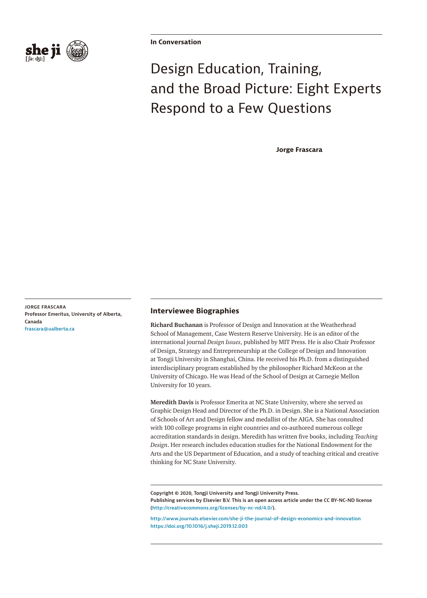

**In Conversation**

# Design Education, Training, and the Broad Picture: Eight Experts Respond to a Few Questions

**Jorge Frascara**

**JORGE FRASCARA Professor Emeritus, University of Alberta, Canada [frascara@ualberta.ca](mailto:frascara@ualberta.ca)**

### **Interviewee Biographies**

**Richard Buchanan** is Professor of Design and Innovation at the Weatherhead School of Management, Case Western Reserve University. He is an editor of the international journal *Design Issues*, published by MIT Press. He is also Chair Professor of Design, Strategy and Entrepreneurship at the College of Design and Innovation at Tongji University in Shanghai, China. He received his Ph.D. from a distinguished interdisciplinary program established by the philosopher Richard McKeon at the University of Chicago. He was Head of the School of Design at Carnegie Mellon University for 10 years.

**Meredith Davis** is Professor Emerita at NC State University, where she served as Graphic Design Head and Director of the Ph.D. in Design. She is a National Association of Schools of Art and Design fellow and medallist of the AIGA. She has consulted with 100 college programs in eight countries and co-authored numerous college accreditation standards in design. Meredith has written five books, including *Teaching Design*. Her research includes education studies for the National Endowment for the Arts and the US Department of Education, and a study of teaching critical and creative thinking for NC State University.

**Copyright © 2020, Tongji University and Tongji University Press. Publishing services by Elsevier B.V. This is an open access article under the CC BY-NC-ND license [\(http://creativecommons.org/licenses/by-nc-nd/4.0/](http://creativecommons.org/licenses/by-nc-nd/4.0/)).**

**<http://www.journals.elsevier.com/she-ji-the-journal-of-design-economics-and-innovation> <https://doi.org/10.1016/j.sheji.2019.12.003>**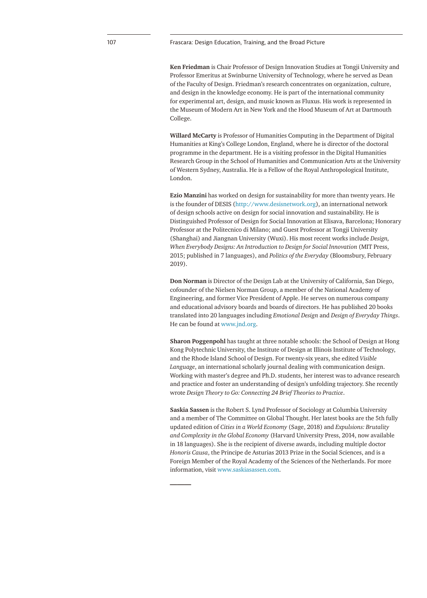#### 107 Frascara: Design Education, Training, and the Broad Picture

**Ken Friedman** is Chair Professor of Design Innovation Studies at Tongji University and Professor Emeritus at Swinburne University of Technology, where he served as Dean of the Faculty of Design. Friedman's research concentrates on organization, culture, and design in the knowledge economy. He is part of the international community for experimental art, design, and music known as Fluxus. His work is represented in the Museum of Modern Art in New York and the Hood Museum of Art at Dartmouth College.

**Willard McCarty** is Professor of Humanities Computing in the [Department of Digital](https://en.wikipedia.org/wiki/Department_of_Digital_Humanities)  [Humanities](https://en.wikipedia.org/wiki/Department_of_Digital_Humanities) at [King's College London,](https://en.wikipedia.org/wiki/King%252527s_College_London) England, where he is director of the doctoral programme in the department. He is a visiting professor in the Digital Humanities Research Group in the School of Humanities and Communication Arts at the [University](https://en.wikipedia.org/wiki/University_of_Western_Sydney)  [of Western Sydney](https://en.wikipedia.org/wiki/University_of_Western_Sydney), Australia. He is a Fellow of the [Royal Anthropological Institute](https://en.wikipedia.org/wiki/Royal_Anthropological_Institute), London.

**Ezio Manzini** has worked on design for sustainability for more than twenty years. He is the founder of DESIS ([http://www.desisnetwork.org](http://www.desisnetwork.org/)), an international network of design schools active on design for social innovation and sustainability. He is Distinguished Professor of Design for Social Innovation at Elisava, Barcelona; Honorary Professor at the Politecnico di Milano; and Guest Professor at Tongji University (Shanghai) and Jiangnan University (Wuxi). His most recent works include *Design, When Everybody Designs: An Introduction to Design for Social Innovation* (MIT Press, 2015; published in 7 languages), and *Politics of the Everyday* (Bloomsbury, February 2019).

**Don Norman** is Director of the Design Lab at the University of California, San Diego, cofounder of the Nielsen Norman Group, a member of the National Academy of Engineering, and former Vice President of Apple. He serves on numerous company and educational advisory boards and boards of directors. He has published 20 books translated into 20 languages including *Emotional Design* and *Design of Everyday Things*. He can be found at [www.jnd.org](http://www.jnd.org/).

**Sharon Poggenpohl** has taught at three notable schools: the School of Design at Hong Kong Polytechnic University, the Institute of Design at Illinois Institute of Technology, and the Rhode Island School of Design. For twenty-six years, she edited *Visible Language*, an international scholarly journal dealing with communication design. Working with master's degree and Ph.D. students, her interest was to advance research and practice and foster an understanding of design's unfolding trajectory. She recently wrote *Design Theory to Go: Connecting 24 Brief Theories to Practice*.

**Saskia Sassen** is the Robert S. Lynd Professor of Sociology at Columbia University and a member of The Committee on Global Thought. Her latest books are the 5th fully updated edition of *Cities in a World Economy* (Sage, 2018) and *Expulsions: Brutality and Complexity in the Global Economy* (Harvard University Press, 2014, now available in 18 languages). She is the recipient of diverse awards, including multiple doctor *Honoris Causa*, the Principe de Asturias 2013 Prize in the Social Sciences, and is a Foreign Member of the Royal Academy of the Sciences of the Netherlands. For more information, visit [www.saskiasassen.com](http://www.saskiasassen.com).

*———*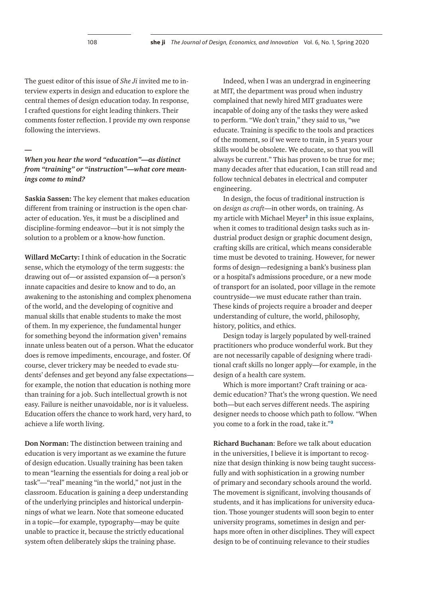The guest editor of this issue of *She Ji* invited me to interview experts in design and education to explore the central themes of design education today. In response, I crafted questions for eight leading thinkers. Their comments foster reflection. I provide my own response following the interviews.

*—*

## *When you hear the word "education"—as distinct from "training" or "instruction"—what core meanings come to mind?*

**Saskia Sassen:** The key element that makes education different from training or instruction is the open character of education. Yes, it must be a disciplined and discipline-forming endeavor—but it is not simply the solution to a problem or a know-how function.

**Willard McCarty:** I think of education in the Socratic sense, which the etymology of the term suggests: the drawing out of—or assisted expansion of—a person's innate capacities and desire to know and to do, an awakening to the astonishing and complex phenomena of the world, and the developing of cognitive and manual skills that enable students to make the most of them. In my experience, the fundamental hunger for something beyond the information given**[1](#page-11-0)** remains innate unless beaten out of a person. What the educator does is remove impediments, encourage, and foster. Of course, clever trickery may be needed to evade students' defenses and get beyond any false expectations for example, the notion that education is nothing more than training for a job. Such intellectual growth is not easy. Failure is neither unavoidable, nor is it valueless. Education offers the chance to work hard, very hard, to achieve a life worth living.

**Don Norman:** The distinction between training and education is very important as we examine the future of design education. Usually training has been taken to mean "learning the essentials for doing a real job or task"—"real" meaning "in the world," not just in the classroom. Education is gaining a deep understanding of the underlying principles and historical underpinnings of what we learn. Note that someone educated in a topic—for example, typography—may be quite unable to practice it, because the strictly educational system often deliberately skips the training phase.

Indeed, when I was an undergrad in engineering at MIT, the department was proud when industry complained that newly hired MIT graduates were incapable of doing any of the tasks they were asked to perform. "We don't train," they said to us, "we educate. Training is specific to the tools and practices of the moment, so if we were to train, in 5 years your skills would be obsolete. We educate, so that you will always be current." This has proven to be true for me; many decades after that education, I can still read and follow technical debates in electrical and computer engineering.

In design, the focus of traditional instruction is on *design as craft*—in other words, on training. As my article with Michael Meyer**[2](#page-11-1)** in this issue explains, when it comes to traditional design tasks such as industrial product design or graphic document design, crafting skills are critical, which means considerable time must be devoted to training. However, for newer forms of design—redesigning a bank's business plan or a hospital's admissions procedure, or a new mode of transport for an isolated, poor village in the remote countryside—we must educate rather than train. These kinds of projects require a broader and deeper understanding of culture, the world, philosophy, history, politics, and ethics.

Design today is largely populated by well-trained practitioners who produce wonderful work. But they are not necessarily capable of designing where traditional craft skills no longer apply—for example, in the design of a health care system.

Which is more important? Craft training or academic education? That's the wrong question. We need both—but each serves different needs. The aspiring designer needs to choose which path to follow. "When you come to a fork in the road, take it."**[3](#page-11-2)**

**Richard Buchanan**: Before we talk about education in the universities, I believe it is important to recognize that design thinking is now being taught successfully and with sophistication in a growing number of primary and secondary schools around the world. The movement is significant, involving thousands of students, and it has implications for university education. Those younger students will soon begin to enter university programs, sometimes in design and perhaps more often in other disciplines. They will expect design to be of continuing relevance to their studies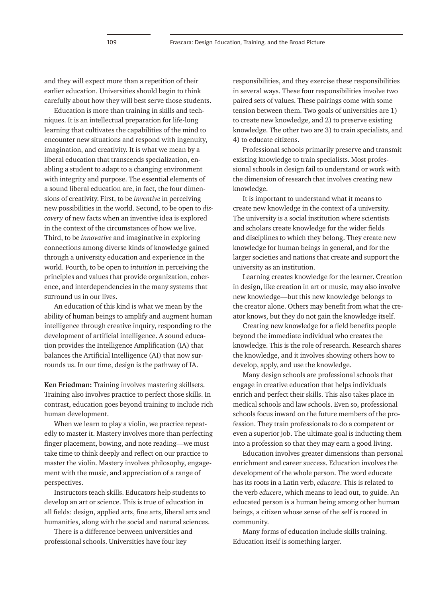and they will expect more than a repetition of their earlier education. Universities should begin to think carefully about how they will best serve those students.

Education is more than training in skills and techniques. It is an intellectual preparation for life-long learning that cultivates the capabilities of the mind to encounter new situations and respond with ingenuity, imagination, and creativity. It is what we mean by a liberal education that transcends specialization, enabling a student to adapt to a changing environment with integrity and purpose. The essential elements of a sound liberal education are, in fact, the four dimensions of creativity. First, to be *inventive* in perceiving new possibilities in the world. Second, to be open to *discovery* of new facts when an inventive idea is explored in the context of the circumstances of how we live. Third, to be *innovative* and imaginative in exploring connections among diverse kinds of knowledge gained through a university education and experience in the world. Fourth, to be open to *intuition* in perceiving the principles and values that provide organization, coherence, and interdependencies in the many systems that surround us in our lives.

An education of this kind is what we mean by the ability of human beings to amplify and augment human intelligence through creative inquiry, responding to the development of artificial intelligence. A sound education provides the Intelligence Amplification (IA) that balances the Artificial Intelligence (AI) that now surrounds us. In our time, design is the pathway of IA.

**Ken Friedman:** Training involves mastering skillsets. Training also involves practice to perfect those skills. In contrast, education goes beyond training to include rich human development.

When we learn to play a violin, we practice repeatedly to master it. Mastery involves more than perfecting finger placement, bowing, and note reading—we must take time to think deeply and reflect on our practice to master the violin. Mastery involves philosophy, engagement with the music, and appreciation of a range of perspectives.

Instructors teach skills. Educators help students to develop an art or science. This is true of education in all fields: design, applied arts, fine arts, liberal arts and humanities, along with the social and natural sciences.

There is a difference between universities and professional schools. Universities have four key

responsibilities, and they exercise these responsibilities in several ways. These four responsibilities involve two paired sets of values. These pairings come with some tension between them. Two goals of universities are 1) to create new knowledge, and 2) to preserve existing knowledge. The other two are 3) to train specialists, and 4) to educate citizens.

Professional schools primarily preserve and transmit existing knowledge to train specialists. Most professional schools in design fail to understand or work with the dimension of research that involves creating new knowledge.

It is important to understand what it means to create new knowledge in the context of a university. The university is a social institution where scientists and scholars create knowledge for the wider fields and disciplines to which they belong. They create new knowledge for human beings in general, and for the larger societies and nations that create and support the university as an institution.

Learning creates knowledge for the learner. Creation in design, like creation in art or music, may also involve new knowledge—but this new knowledge belongs to the creator alone. Others may benefit from what the creator knows, but they do not gain the knowledge itself.

Creating new knowledge for a field benefits people beyond the immediate individual who creates the knowledge. This is the role of research. Research shares the knowledge, and it involves showing others how to develop, apply, and use the knowledge.

Many design schools are professional schools that engage in creative education that helps individuals enrich and perfect their skills. This also takes place in medical schools and law schools. Even so, professional schools focus inward on the future members of the profession. They train professionals to do a competent or even a superior job. The ultimate goal is inducting them into a profession so that they may earn a good living.

Education involves greater dimensions than personal enrichment and career success. Education involves the development of the whole person. The word educate has its roots in a Latin verb, *educare*. This is related to the verb *educere*, which means to lead out, to guide. An educated person is a human being among other human beings, a citizen whose sense of the self is rooted in community.

Many forms of education include skills training. Education itself is something larger.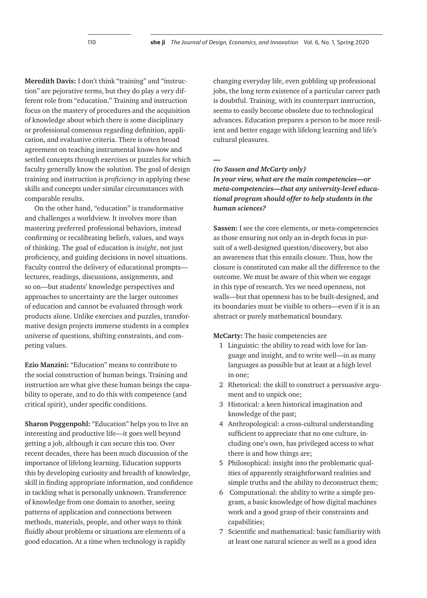**Meredith Davis:** I don't think "training" and "instruction" are pejorative terms, but they do play a very different role from "education." Training and instruction focus on the mastery of procedures and the acquisition of knowledge about which there is some disciplinary or professional consensus regarding definition, application, and evaluative criteria. There is often broad agreement on teaching instrumental know-how and settled concepts through exercises or puzzles for which faculty generally know the solution. The goal of design training and instruction is *proficiency* in applying these skills and concepts under similar circumstances with comparable results.

On the other hand, "education" is transformative and challenges a worldview. It involves more than mastering preferred professional behaviors, instead confirming or recalibrating beliefs, values, and ways of thinking. The goal of education is *insight*, not just proficiency, and guiding decisions in novel situations. Faculty control the delivery of educational prompts lectures, readings, discussions, assignments, and so on—but students' knowledge perspectives and approaches to uncertainty are the larger outcomes of education and cannot be evaluated through work products alone. Unlike exercises and puzzles, transformative design projects immerse students in a complex universe of questions, shifting constraints, and competing values.

**Ezio Manzini:** "Education" means to contribute to the social construction of human beings. Training and instruction are what give these human beings the capability to operate, and to do this with competence (and critical spirit), under specific conditions.

**Sharon Poggenpohl:** "Education" helps you to live an interesting and productive life—it goes well beyond getting a job, although it can secure this too. Over recent decades, there has been much discussion of the importance of lifelong learning. Education supports this by developing curiosity and breadth of knowledge, skill in finding appropriate information, and confidence in tackling what is personally unknown. Transference of knowledge from one domain to another, seeing patterns of application and connections between methods, materials, people, and other ways to think fluidly about problems or situations are elements of a good education. At a time when technology is rapidly

changing everyday life, even gobbling up professional jobs, the long term existence of a particular career path is doubtful. Training, with its counterpart instruction, seems to easily become obsolete due to technological advances. Education prepares a person to be more resilient and better engage with lifelong learning and life's cultural pleasures.

*—*

### *(to Sassen and McCarty only)*

*In your view, what are the main competencies—or meta-competencies—that any university-level educational program should offer to help students in the human sciences?*

**Sassen:** I see the core elements, or meta-competencies as those ensuring not only an in-depth focus in pursuit of a well-designed question/discovery, but also an awareness that this entails closure. Thus, how the closure is constituted can make all the difference to the outcome. We must be aware of this when we engage in this type of research. Yes we need openness, not walls—but that openness has to be built-designed, and its boundaries must be visible to others—even if it is an abstract or purely mathematical boundary.

**McCarty:** The basic competencies are

- 1 Linguistic: the ability to read with love for language and insight, and to write well—in as many languages as possible but at least at a high level in one;
- 2 Rhetorical: the skill to construct a persuasive argument and to unpick one;
- 3 Historical: a keen historical imagination and knowledge of the past;
- 4 Anthropological: a cross-cultural understanding sufficient to appreciate that no one culture, including one's own, has privileged access to what there is and how things are;
- 5 Philosophical: insight into the problematic qualities of apparently straightforward realities and simple truths and the ability to deconstruct them;
- 6 Computational: the ability to write a simple program, a basic knowledge of how digital machines work and a good grasp of their constraints and capabilities;
- 7 Scientific and mathematical: basic familiarity with at least one natural science as well as a good idea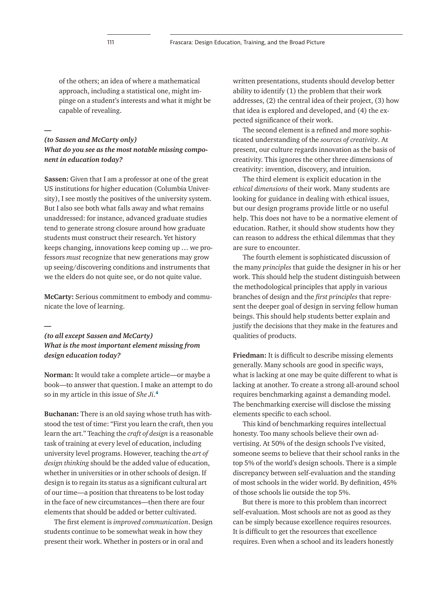of the others; an idea of where a mathematical approach, including a statistical one, might impinge on a student's interests and what it might be capable of revealing.

## *(to Sassen and McCarty only) What do you see as the most notable missing component in education today?*

**Sassen:** Given that I am a professor at one of the great US institutions for higher education (Columbia University), I see mostly the positives of the university system. But I also see both what falls away and what remains unaddressed: for instance, advanced graduate studies tend to generate strong closure around how graduate students must construct their research. Yet history keeps changing, innovations keep coming up … we professors *must* recognize that new generations may grow up seeing/discovering conditions and instruments that we the elders do not quite see, or do not quite value.

**McCarty:** Serious commitment to embody and communicate the love of learning.

## *(to all except Sassen and McCarty) What is the most important element missing from design education today?*

**Norman:** It would take a complete article—or maybe a book—to answer that question. I make an attempt to do so in my article in this issue of *She Ji*.**[4](#page-11-3)**

**Buchanan:** There is an old saying whose truth has withstood the test of time: "First you learn the craft, then you learn the art." Teaching the *craft of design* is a reasonable task of training at every level of education, including university level programs. However, teaching the *art of design thinking* should be the added value of education, whether in universities or in other schools of design. If design is to regain its status as a significant cultural art of our time—a position that threatens to be lost today in the face of new circumstances—then there are four elements that should be added or better cultivated.

The first element is *improved communication*. Design students continue to be somewhat weak in how they present their work. Whether in posters or in oral and

written presentations, students should develop better ability to identify (1) the problem that their work addresses, (2) the central idea of their project, (3) how that idea is explored and developed, and (4) the expected significance of their work.

The second element is a refined and more sophisticated understanding of the *sources of creativity*. At present, our culture regards innovation as the basis of creativity. This ignores the other three dimensions of creativity: invention, discovery, and intuition.

The third element is explicit education in the *ethical dimensions* of their work. Many students are looking for guidance in dealing with ethical issues, but our design programs provide little or no useful help. This does not have to be a normative element of education. Rather, it should show students how they can reason to address the ethical dilemmas that they are sure to encounter.

The fourth element is sophisticated discussion of the many *principles* that guide the designer in his or her work. This should help the student distinguish between the methodological principles that apply in various branches of design and the *first principles* that represent the deeper goal of design in serving fellow human beings. This should help students better explain and justify the decisions that they make in the features and qualities of products.

**Friedman:** It is difficult to describe missing elements generally. Many schools are good in specific ways, what is lacking at one may be quite different to what is lacking at another. To create a strong all-around school requires benchmarking against a demanding model. The benchmarking exercise will disclose the missing elements specific to each school.

This kind of benchmarking requires intellectual honesty. Too many schools believe their own advertising. At 50% of the design schools I've visited, someone seems to believe that their school ranks in the top 5% of the world's design schools. There is a simple discrepancy between self-evaluation and the standing of most schools in the wider world. By definition, 45% of those schools lie outside the top 5%.

But there is more to this problem than incorrect self-evaluation. Most schools are not as good as they can be simply because excellence requires resources. It is difficult to get the resources that excellence requires. Even when a school and its leaders honestly

**—**

*—*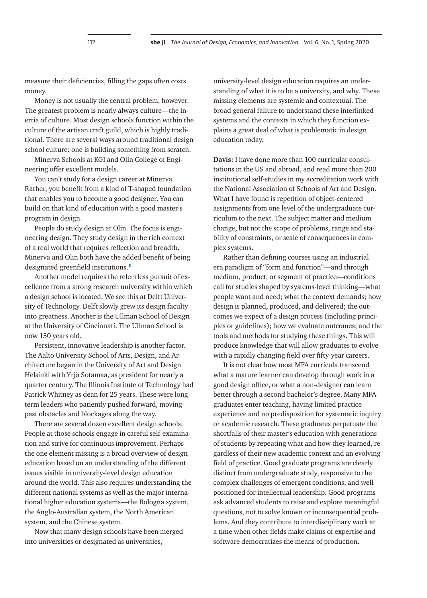measure their deficiencies, filling the gaps often costs money.

Money is not usually the central problem, however. The greatest problem is nearly always culture—the inertia of culture. Most design schools function within the culture of the artisan craft guild, which is highly traditional. There are several ways around traditional design school culture: one is building something from scratch.

Minerva Schools at KGI and Olin College of Engineering offer excellent models.

You can't study for a design career at Minerva. Rather, you benefit from a kind of T-shaped foundation that enables you to become a good designer. You can build on that kind of education with a good master's program in design.

People do study design at Olin. The focus is engineering design. They study design in the rich context of a real world that requires reflection and breadth. Minerva and Olin both have the added benefit of being designated greenfield institutions.**[5](#page-11-4)**

Another model requires the relentless pursuit of excellence from a strong research university within which a design school is located. We see this at Delft University of Technology. Delft slowly grew its design faculty into greatness. Another is the Ullman School of Design at the University of Cincinnati. The Ullman School is now 150 years old.

Persistent, innovative leadership is another factor. The Aalto University School of Arts, Design, and Architecture began in the University of Art and Design Helsinki with Yrjö Sotamaa, as president for nearly a quarter century. The Illinois Institute of Technology had Patrick Whitney as dean for 25 years. These were long term leaders who patiently pushed forward, moving past obstacles and blockages along the way.

There are several dozen excellent design schools. People at those schools engage in careful self-examination and strive for continuous improvement. Perhaps the one element missing is a broad overview of design education based on an understanding of the different issues visible in university-level design education around the world. This also requires understanding the different national systems as well as the major international higher education systems—the Bologna system, the Anglo-Australian system, the North American system, and the Chinese system.

Now that many design schools have been merged into universities or designated as universities,

university-level design education requires an understanding of what it is to be a university, and why. These missing elements are systemic and contextual. The broad general failure to understand these interlinked systems and the contexts in which they function explains a great deal of what is problematic in design education today.

**Davis:** I have done more than 100 curricular consultations in the US and abroad, and read more than 200 institutional self-studies in my accreditation work with the National Association of Schools of Art and Design. What I have found is repetition of object-centered assignments from one level of the undergraduate curriculum to the next. The subject matter and medium change, but not the scope of problems, range and stability of constraints, or scale of consequences in complex systems.

Rather than defining courses using an industrial era paradigm of "form and function"—and through medium, product, or segment of practice—conditions call for studies shaped by systems-level thinking—what people want and need; what the context demands; how design is planned, produced, and delivered; the outcomes we expect of a design process (including principles or guidelines); how we evaluate outcomes; and the tools and methods for studying these things. This will produce knowledge that will allow graduates to evolve with a rapidly changing field over fifty-year careers.

It is not clear how most MFA curricula transcend what a mature learner can develop through work in a good design office, or what a non-designer can learn better through a second bachelor's degree. Many MFA graduates enter teaching, having limited practice experience and no predisposition for systematic inquiry or academic research. These graduates perpetuate the shortfalls of their master's education with generations of students by repeating what and how they learned, regardless of their new academic context and an evolving field of practice. Good graduate programs are clearly distinct from undergraduate study, responsive to the complex challenges of emergent conditions, and well positioned for intellectual leadership. Good programs ask advanced students to raise and explore meaningful questions, not to solve known or inconsequential problems. And they contribute to interdisciplinary work at a time when other fields make claims of expertise and software democratizes the means of production.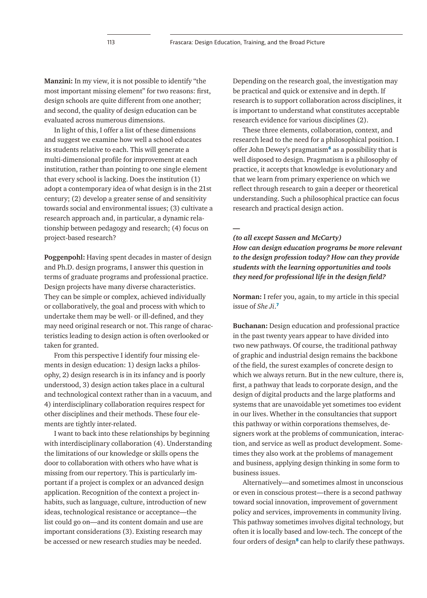**Manzini:** In my view, it is not possible to identify "the most important missing element" for two reasons: first, design schools are quite different from one another; and second, the quality of design education can be evaluated across numerous dimensions.

In light of this, I offer a list of these dimensions and suggest we examine how well a school educates its students relative to each. This will generate a multi-dimensional profile for improvement at each institution, rather than pointing to one single element that every school is lacking. Does the institution (1) adopt a contemporary idea of what design is in the 21st century; (2) develop a greater sense of and sensitivity towards social and environmental issues; (3) cultivate a research approach and, in particular, a dynamic relationship between pedagogy and research; (4) focus on project-based research?

**Poggenpohl:** Having spent decades in master of design and Ph.D. design programs, I answer this question in terms of graduate programs and professional practice. Design projects have many diverse characteristics. They can be simple or complex, achieved individually or collaboratively, the goal and process with which to undertake them may be well- or ill-defined, and they may need original research or not. This range of characteristics leading to design action is often overlooked or taken for granted.

From this perspective I identify four missing elements in design education: 1) design lacks a philosophy, 2) design research is in its infancy and is poorly understood, 3) design action takes place in a cultural and technological context rather than in a vacuum, and 4) interdisciplinary collaboration requires respect for other disciplines and their methods. These four elements are tightly inter-related.

I want to back into these relationships by beginning with interdisciplinary collaboration (4). Understanding the limitations of our knowledge or skills opens the door to collaboration with others who have what is missing from our repertory. This is particularly important if a project is complex or an advanced design application. Recognition of the context a project inhabits, such as language, culture, introduction of new ideas, technological resistance or acceptance—the list could go on—and its content domain and use are important considerations (3). Existing research may be accessed or new research studies may be needed.

Depending on the research goal, the investigation may be practical and quick or extensive and in depth. If research is to support collaboration across disciplines, it is important to understand what constitutes acceptable research evidence for various disciplines (2).

These three elements, collaboration, context, and research lead to the need for a philosophical position. I offer John Dewey's pragmatism**[6](#page-11-5)** as a possibility that is well disposed to design. Pragmatism is a philosophy of practice, it accepts that knowledge is evolutionary and that we learn from primary experience on which we reflect through research to gain a deeper or theoretical understanding. Such a philosophical practice can focus research and practical design action.

*—*

#### *(to all except Sassen and McCarty)*

*How can design education programs be more relevant to the design profession today? How can they provide students with the learning opportunities and tools they need for professional life in the design field?* 

**Norman:** I refer you, again, to my article in this special issue of *She Ji*.**[7](#page-11-6)**

**Buchanan:** Design education and professional practice in the past twenty years appear to have divided into two new pathways. Of course, the traditional pathway of graphic and industrial design remains the backbone of the field, the surest examples of concrete design to which we always return. But in the new culture, there is, first, a pathway that leads to corporate design, and the design of digital products and the large platforms and systems that are unavoidable yet sometimes too evident in our lives. Whether in the consultancies that support this pathway or within corporations themselves, designers work at the problems of communication, interaction, and service as well as product development. Sometimes they also work at the problems of management and business, applying design thinking in some form to business issues.

Alternatively—and sometimes almost in unconscious or even in conscious protest—there is a second pathway toward social innovation, improvement of government policy and services, improvements in community living. This pathway sometimes involves digital technology, but often it is locally based and low-tech. The concept of the four orders of design**[8](#page-11-7)** can help to clarify these pathways.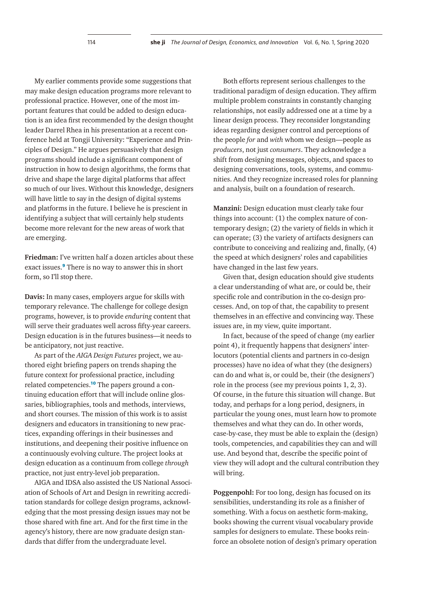My earlier comments provide some suggestions that may make design education programs more relevant to professional practice. However, one of the most important features that could be added to design education is an idea first recommended by the design thought leader Darrel Rhea in his presentation at a recent conference held at Tongji University: "Experience and Principles of Design." He argues persuasively that design programs should include a significant component of instruction in how to design algorithms, the forms that drive and shape the large digital platforms that affect so much of our lives. Without this knowledge, designers will have little to say in the design of digital systems and platforms in the future. I believe he is prescient in identifying a subject that will certainly help students become more relevant for the new areas of work that are emerging.

**Friedman:** I've written half a dozen articles about these exact issues.**[9](#page-11-8)** There is no way to answer this in short form, so I'll stop there.

**Davis:** In many cases, employers argue for skills with temporary relevance. The challenge for college design programs, however, is to provide *enduring* content that will serve their graduates well across fifty-year careers. Design education is in the futures business—it needs to be anticipatory, not just reactive.

As part of the *AIGA Design Futures* project, we authored eight briefing papers on trends shaping the future context for professional practice, including related competencies.**[10](#page-11-9)** The papers ground a continuing education effort that will include online glossaries, bibliographies, tools and methods, interviews, and short courses. The mission of this work is to assist designers and educators in transitioning to new practices, expanding offerings in their businesses and institutions, and deepening their positive influence on a continuously evolving culture. The project looks at design education as a continuum from college *through* practice, not just entry-level job preparation.

AIGA and IDSA also assisted the US National Association of Schools of Art and Design in rewriting accreditation standards for college design programs, acknowledging that the most pressing design issues may not be those shared with fine art. And for the first time in the agency's history, there are now graduate design standards that differ from the undergraduate level.

Both efforts represent serious challenges to the traditional paradigm of design education. They affirm multiple problem constraints in constantly changing relationships, not easily addressed one at a time by a linear design process. They reconsider longstanding ideas regarding designer control and perceptions of the people *for* and *with* whom we design—people as *producers*, not just *consumers*. They acknowledge a shift from designing messages, objects, and spaces to designing conversations, tools, systems, and communities. And they recognize increased roles for planning and analysis, built on a foundation of research.

**Manzini:** Design education must clearly take four things into account: (1) the complex nature of contemporary design; (2) the variety of fields in which it can operate; (3) the variety of artifacts designers can contribute to conceiving and realizing and, finally, (4) the speed at which designers' roles and capabilities have changed in the last few years.

Given that, design education should give students a clear understanding of what are, or could be, their specific role and contribution in the co-design processes. And, on top of that, the capability to present themselves in an effective and convincing way. These issues are, in my view, quite important.

In fact, because of the speed of change (my earlier point 4), it frequently happens that designers' interlocutors (potential clients and partners in co-design processes) have no idea of what they (the designers) can do and what is, or could be, their (the designers') role in the process (see my previous points 1, 2, 3). Of course, in the future this situation will change. But today, and perhaps for a long period, designers, in particular the young ones, must learn how to promote themselves and what they can do. In other words, case-by-case, they must be able to explain the (design) tools, competencies, and capabilities they can and will use. And beyond that, describe the specific point of view they will adopt and the cultural contribution they will bring.

**Poggenpohl:** For too long, design has focused on its sensibilities, understanding its role as a finisher of something. With a focus on aesthetic form-making, books showing the current visual vocabulary provide samples for designers to emulate. These books reinforce an obsolete notion of design's primary operation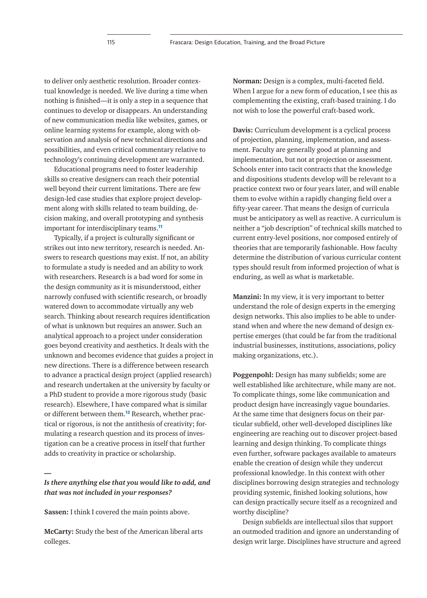to deliver only aesthetic resolution. Broader contextual knowledge is needed. We live during a time when nothing is finished—it is only a step in a sequence that continues to develop or disappears. An understanding of new communication media like websites, games, or online learning systems for example, along with observation and analysis of new technical directions and possibilities, and even critical commentary relative to technology's continuing development are warranted.

Educational programs need to foster leadership skills so creative designers can reach their potential well beyond their current limitations. There are few design-led case studies that explore project development along with skills related to team building, decision making, and overall prototyping and synthesis important for interdisciplinary teams.**[11](#page-11-10)**

Typically, if a project is culturally significant or strikes out into new territory, research is needed. Answers to research questions may exist. If not, an ability to formulate a study is needed and an ability to work with researchers. Research is a bad word for some in the design community as it is misunderstood, either narrowly confused with scientific research, or broadly watered down to accommodate virtually any web search. Thinking about research requires identification of what is unknown but requires an answer. Such an analytical approach to a project under consideration goes beyond creativity and aesthetics. It deals with the unknown and becomes evidence that guides a project in new directions. There is a difference between research to advance a practical design project (applied research) and research undertaken at the university by faculty or a PhD student to provide a more rigorous study (basic research). Elsewhere, I have compared what is similar or different between them.**[12](#page-11-11)** Research, whether practical or rigorous, is not the antithesis of creativity; formulating a research question and its process of investigation can be a creative process in itself that further adds to creativity in practice or scholarship.

## *Is there anything else that you would like to add, and that was not included in your responses?*

**Sassen:** I think I covered the main points above.

*—*

**McCarty:** Study the best of the American liberal arts colleges.

**Norman:** Design is a complex, multi-faceted field. When I argue for a new form of education, I see this as complementing the existing, craft-based training. I do not wish to lose the powerful craft-based work.

**Davis:** Curriculum development is a cyclical process of projection, planning, implementation, and assessment. Faculty are generally good at planning and implementation, but not at projection or assessment. Schools enter into tacit contracts that the knowledge and dispositions students develop will be relevant to a practice context two or four years later, and will enable them to evolve within a rapidly changing field over a fifty-year career. That means the design of curricula must be anticipatory as well as reactive. A curriculum is neither a "job description" of technical skills matched to current entry-level positions, nor composed entirely of theories that are temporarily fashionable. How faculty determine the distribution of various curricular content types should result from informed projection of what is enduring, as well as what is marketable.

**Manzini:** In my view, it is very important to better understand the role of design experts in the emerging design networks. This also implies to be able to understand when and where the new demand of design expertise emerges (that could be far from the traditional industrial businesses, institutions, associations, policy making organizations, etc.).

**Poggenpohl:** Design has many subfields; some are well established like architecture, while many are not. To complicate things, some like communication and product design have increasingly vague boundaries. At the same time that designers focus on their particular subfield, other well-developed disciplines like engineering are reaching out to discover project-based learning and design thinking. To complicate things even further, software packages available to amateurs enable the creation of design while they undercut professional knowledge. In this context with other disciplines borrowing design strategies and technology providing systemic, finished looking solutions, how can design practically secure itself as a recognized and worthy discipline?

Design subfields are intellectual silos that support an outmoded tradition and ignore an understanding of design writ large. Disciplines have structure and agreed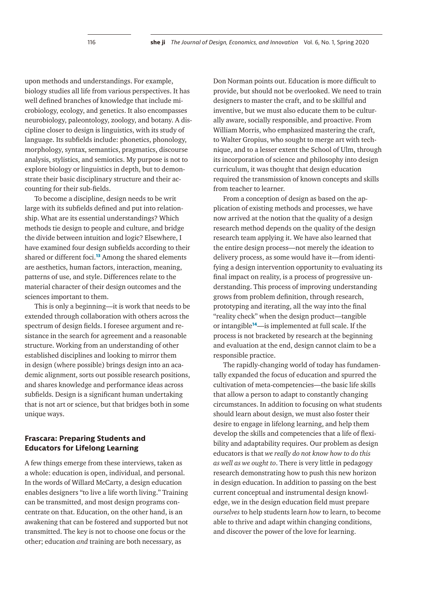upon methods and understandings. For example, biology studies all life from various perspectives. It has well defined branches of knowledge that include microbiology, ecology, and genetics. It also encompasses neurobiology, paleontology, zoology, and botany. A discipline closer to design is linguistics, with its study of language. Its subfields include: phonetics, phonology, morphology, syntax, semantics, pragmatics, discourse analysis, stylistics, and semiotics. My purpose is not to explore biology or linguistics in depth, but to demonstrate their basic disciplinary structure and their accounting for their sub-fields.

To become a discipline, design needs to be writ large with its subfields defined and put into relationship. What are its essential understandings? Which methods tie design to people and culture, and bridge the divide between intuition and logic? Elsewhere, I have examined four design subfields according to their shared or different foci.**[13](#page-11-12)** Among the shared elements are aesthetics, human factors, interaction, meaning, patterns of use, and style. Differences relate to the material character of their design outcomes and the sciences important to them.

This is only a beginning—it is work that needs to be extended through collaboration with others across the spectrum of design fields. I foresee argument and resistance in the search for agreement and a reasonable structure. Working from an understanding of other established disciplines and looking to mirror them in design (where possible) brings design into an academic alignment, sorts out possible research positions, and shares knowledge and performance ideas across subfields. Design is a significant human undertaking that is not art or science, but that bridges both in some unique ways.

## **Frascara: Preparing Students and Educators for Lifelong Learning**

A few things emerge from these interviews, taken as a whole: education is open, individual, and personal. In the words of Willard McCarty, a design education enables designers "to live a life worth living." Training can be transmitted, and most design programs concentrate on that. Education, on the other hand, is an awakening that can be fostered and supported but not transmitted. The key is not to choose one focus or the other; education *and* training are both necessary, as

Don Norman points out. Education is more difficult to provide, but should not be overlooked. We need to train designers to master the craft, and to be skillful and inventive, but we must also educate them to be culturally aware, socially responsible, and proactive. From William Morris, who emphasized mastering the craft, to Walter Gropius, who sought to merge art with technique, and to a lesser extent the School of Ulm, through its incorporation of science and philosophy into design curriculum, it was thought that design education required the transmission of known concepts and skills from teacher to learner.

From a conception of design as based on the application of existing methods and processes, we have now arrived at the notion that the quality of a design research method depends on the quality of the design research team applying it. We have also learned that the entire design process—not merely the ideation to delivery process, as some would have it—from identifying a design intervention opportunity to evaluating its final impact on reality, is a process of progressive understanding. This process of improving understanding grows from problem definition, through research, prototyping and iterating, all the way into the final "reality check" when the design product—tangible or intangible**[14](#page-11-13)**—is implemented at full scale. If the process is not bracketed by research at the beginning and evaluation at the end, design cannot claim to be a responsible practice.

The rapidly-changing world of today has fundamentally expanded the focus of education and spurred the cultivation of meta-competencies—the basic life skills that allow a person to adapt to constantly changing circumstances. In addition to focusing on what students should learn about design, we must also foster their desire to engage in lifelong learning, and help them develop the skills and competencies that a life of flexibility and adaptability requires. Our problem as design educators is that *we really do not know how to do this as well as we ought to*. There is very little in pedagogy research demonstrating how to push this new horizon in design education. In addition to passing on the best current conceptual and instrumental design knowledge, we in the design education field must prepare *ourselves* to help students learn *how* to learn, to become able to thrive and adapt within changing conditions, and discover the power of the love for learning.